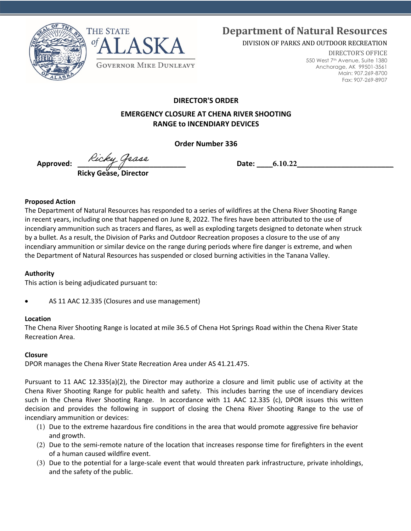



# **Department of Natural Resources**

DIVISION OF PARKS AND OUTDOOR RECREATION

DIRECTOR'S OFFICE 550 West 7th Avenue, Suite 1380 Anchorage, AK 99501-3561 Main: 907.269-8700 Fax: 907-269-8907

**DIRECTOR'S ORDER** 

## **EMERGENCY CLOSURE AT CHENA RIVER SHOOTING RANGE to INCENDIARY DEVICES**

**Order Number 336** 

Approved:  $\begin{array}{ccc}\n\sqrt{2} & \sqrt{2} \\
\hline\n\end{array}$  **Ricky Gease, Director**

#### **Proposed Action**

The Department of Natural Resources has responded to a series of wildfires at the Chena River Shooting Range in recent years, including one that happened on June 8, 2022. The fires have been attributed to the use of incendiary ammunition such as tracers and flares, as well as exploding targets designed to detonate when struck by a bullet. As a result, the Division of Parks and Outdoor Recreation proposes a closure to the use of any incendiary ammunition or similar device on the range during periods where fire danger is extreme, and when the Department of Natural Resources has suspended or closed burning activities in the Tanana Valley.

## **Authority**

This action is being adjudicated pursuant to:

• AS 11 AAC 12.335 (Closures and use management)

## **Location**

The Chena River Shooting Range is located at mile 36.5 of Chena Hot Springs Road within the Chena River State Recreation Area.

## **Closure**

DPOR manages the Chena River State Recreation Area under AS 41.21.475.

Pursuant to 11 AAC 12.335(a)(2), the Director may authorize a closure and limit public use of activity at the Chena River Shooting Range for public health and safety. This includes barring the use of incendiary devices such in the Chena River Shooting Range. In accordance with 11 AAC 12.335 (c), DPOR issues this written decision and provides the following in support of closing the Chena River Shooting Range to the use of incendiary ammunition or devices:

- (1) Due to the extreme hazardous fire conditions in the area that would promote aggressive fire behavior and growth.
- (2) Due to the semi-remote nature of the location that increases response time for firefighters in the event of a human caused wildfire event.
- (3) Due to the potential for a large-scale event that would threaten park infrastructure, private inholdings, and the safety of the public.